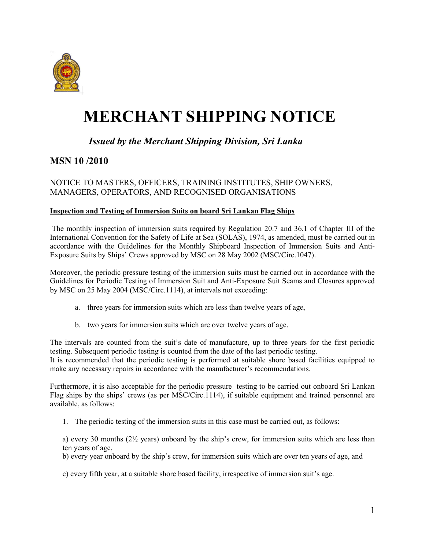

# **MERCHANT SHIPPING NOTICE**

## *Issued by the Merchant Shipping Division, Sri Lanka*

## **MSN 10 /2010**

### NOTICE TO MASTERS, OFFICERS, TRAINING INSTITUTES, SHIP OWNERS, MANAGERS, OPERATORS, AND RECOGNISED ORGANISATIONS

#### **Inspection and Testing of Immersion Suits on board Sri Lankan Flag Ships**

 The monthly inspection of immersion suits required by Regulation 20.7 and 36.1 of Chapter III of the International Convention for the Safety of Life at Sea (SOLAS), 1974, as amended, must be carried out in accordance with the Guidelines for the Monthly Shipboard Inspection of Immersion Suits and Anti-Exposure Suits by Ships' Crews approved by MSC on 28 May 2002 (MSC/Circ.1047).

Moreover, the periodic pressure testing of the immersion suits must be carried out in accordance with the Guidelines for Periodic Testing of Immersion Suit and Anti-Exposure Suit Seams and Closures approved by MSC on 25 May 2004 (MSC/Circ.1114), at intervals not exceeding:

- a. three years for immersion suits which are less than twelve years of age,
- b. two years for immersion suits which are over twelve years of age.

The intervals are counted from the suit's date of manufacture, up to three years for the first periodic testing. Subsequent periodic testing is counted from the date of the last periodic testing. It is recommended that the periodic testing is performed at suitable shore based facilities equipped to

make any necessary repairs in accordance with the manufacturer's recommendations.

Furthermore, it is also acceptable for the periodic pressure testing to be carried out onboard Sri Lankan Flag ships by the ships' crews (as per MSC/Circ.1114), if suitable equipment and trained personnel are available, as follows:

1. The periodic testing of the immersion suits in this case must be carried out, as follows:

a) every 30 months  $(2)$  years) onboard by the ship's crew, for immersion suits which are less than ten years of age,

b) every year onboard by the ship's crew, for immersion suits which are over ten years of age, and

c) every fifth year, at a suitable shore based facility, irrespective of immersion suit's age.